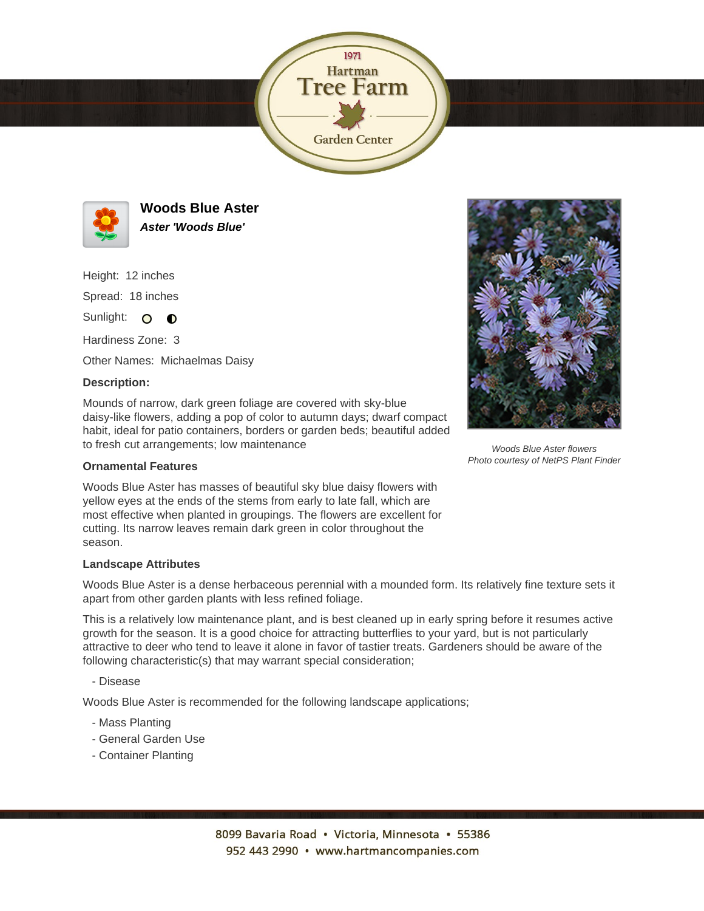



**Woods Blue Aster Aster 'Woods Blue'**

Height: 12 inches

Spread: 18 inches

Sunlight: O  $\bullet$ 

Hardiness Zone: 3

Other Names: Michaelmas Daisy

## **Description:**

Mounds of narrow, dark green foliage are covered with sky-blue daisy-like flowers, adding a pop of color to autumn days; dwarf compact habit, ideal for patio containers, borders or garden beds; beautiful added to fresh cut arrangements; low maintenance

## **Ornamental Features**

Woods Blue Aster has masses of beautiful sky blue daisy flowers with yellow eyes at the ends of the stems from early to late fall, which are most effective when planted in groupings. The flowers are excellent for cutting. Its narrow leaves remain dark green in color throughout the season.

## **Landscape Attributes**

Woods Blue Aster is a dense herbaceous perennial with a mounded form. Its relatively fine texture sets it apart from other garden plants with less refined foliage.

This is a relatively low maintenance plant, and is best cleaned up in early spring before it resumes active growth for the season. It is a good choice for attracting butterflies to your yard, but is not particularly attractive to deer who tend to leave it alone in favor of tastier treats. Gardeners should be aware of the following characteristic(s) that may warrant special consideration;

- Disease

Woods Blue Aster is recommended for the following landscape applications;

- Mass Planting
- General Garden Use
- Container Planting



Woods Blue Aster flowers Photo courtesy of NetPS Plant Finder